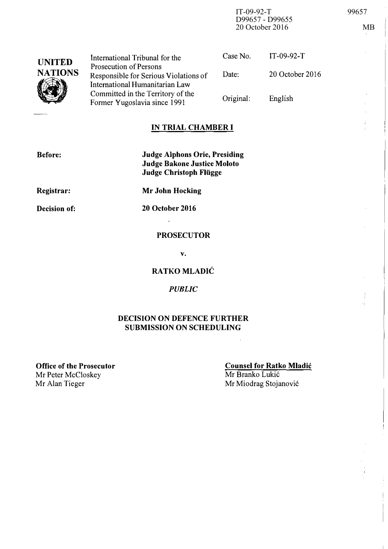IT-09-92-T 99657 D99657 - D99655 20 October 2016 MB

| <b>UNITED</b><br><b>NATIONS</b> | International Tribunal for the                                                                    | Case No.  | $IT-09-92-T$    |
|---------------------------------|---------------------------------------------------------------------------------------------------|-----------|-----------------|
|                                 | Prosecution of Persons<br>Responsible for Serious Violations of<br>International Humanitarian Law | Date:     | 20 October 2016 |
|                                 | Committed in the Territory of the<br>Former Yugoslavia since 1991                                 | Original: | English         |

# IN TRIAL CHAMBER I

| <b>Before:</b> | <b>Judge Alphons Orie, Presiding</b><br><b>Judge Bakone Justice Moloto</b><br>Judge Christoph Flügge |
|----------------|------------------------------------------------------------------------------------------------------|
| Registrar:     | <b>Mr John Hocking</b>                                                                               |

Decision of:

20 October 2016  $\sim$ 

### **PROSECUTOR**

v.

# RATKO MLADIC

#### PUBLIC

### DECISION ON DEFENCE FURTHER SUBMISSION ON SCHEDULING

Office of the Prosecutor Mr Peter McCloskey<br>Mr Alan Tieger

#### Counsel for Ratko Mladic Mr Branko Lukić Mr Miodrag Stojanović

 $\mathcal{L}$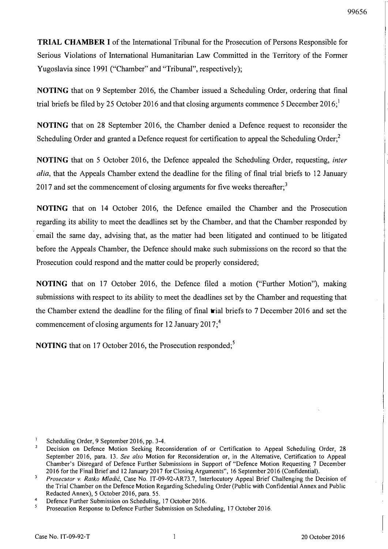TRIAL CHAMBER I of the International Tribunal for the Prosecution of Persons Responsible for Serious Violations of International Humanitarian Law Committed in the Territory of the Former Yugoslavia since 1991 ("Chamber" and "Tribunal", respectively);

NOTING that on 9 September 2016, the Chamber issued a Scheduling Order, ordering that final trial briefs be filed by 25 October 2016 and that closing arguments commence 5 December 2016;

NOTING that on 28 September 2016, the Chamber denied a Defence request to reconsider the Scheduling Order and granted a Defence request for certification to appeal the Scheduling Order; $\frac{2}{3}$ 

NOTING that on 5 October 2016, the Defence appealed the Scheduling Order, requesting, inter alia, that the Appeals Chamber extend the deadline for the filing of final trial briefs to 12 January 2017 and set the commencement of closing arguments for five weeks thereafter;<sup>3</sup>

NOTING that on 14 October 2016, the Defence emailed the Chamber and the Prosecution regarding its ability to meet the deadlines set by the Chamber, and that the Chamber responded by emai1 the same day, advising that, as the matter had been litigated and continued to be litigated before the Appeals Chamber, the Defence should make such submissions on the record so that the Prosecution could respond and the matter could be properly considered;

NOTING that on 17 October 2016, the Defence filed a motion ("Further Motion"), making submissions with respect to its ability to meet the deadlines set by the Chamber and requesting that the Chamber extend the deadline for the filing of final trial briefs to 7 December 2016 and set the commencement of closing arguments for 12 January 2017;<sup>4</sup>

NOTING that on 17 October 2016, the Prosecution responded;<sup>5</sup>

Scheduling Order, 9 September 2016, pp. 3-4.

 $2<sub>1</sub>$ Decision on Defence Motion Seeking Reconsideration of or Certification to Appeal Scheduling Order, 28 September 2016, para. 13. See also Motion for Reconsideration or, in the Alternative, Certification to Appeal Chamber's Disregard of Defence Further Submissions in Support of "Defence Motion Requesting 7 December 2016 for the Final Brief and 12 January 2017 for Closing Arguments", 16 September 2016 (Confidential).

 $\overline{3}$ Prosecutor v. Ratko Mladić, Case No. IT-09-92-AR73.7, Interlocutory Appeal Brief Challenging the Decision of the Trial Chamber on the Defence Motion Regarding Scheduling Order (Public with Confidential Annex and Public Redacted Annex), 5 October 2016, para. 55.

 $\boldsymbol{A}$ Defence Further Submission on Scheduling, 17 October 2016.

<sup>5</sup>  Prosecution Response to Defence Further Submission on Scheduling, 17 October 2016.